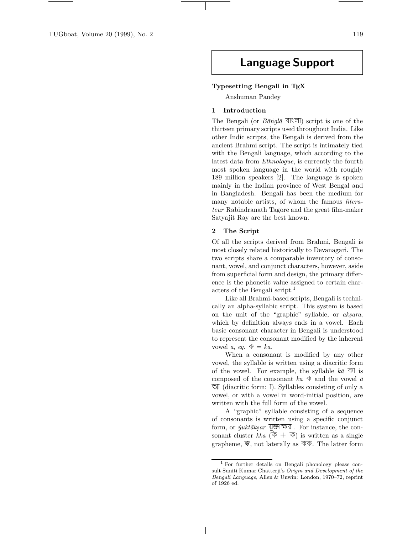# **Language Support**

#### **Typesetting Bengali in TEX**

Anshuman Pandey

## **1 Introduction**

The Bengali (or  $B\bar{a}$  ingl $\bar{a}$   $\overline{\triangleleft}$  ( $\overline{\triangleleft}$ ) script is one of the thirteen primary scripts used throughout India. Like other Indic scripts, the Bengali is derived from the ancient Brahmi script. The script is intimately tied with the Bengali language, which according to the latest data from Ethnologue, is currently the fourth most spoken language in the world with roughly 189 million speakers [2]. The language is spoken mainly in the Indian province of West Bengal and in Bangladesh. Bengali has been the medium for many notable artists, of whom the famous *litera*teur Rabindranath Tagore and the great film-maker Satyajit Ray are the best known.

# **2 The Script**

Of all the scripts derived from Brahmi, Bengali is most closely related historically to Devanagari. The two scripts share a comparable inventory of consonant, vowel, and conjunct characters, however, aside from superficial form and design, the primary difference is the phonetic value assigned to certain characters of the Bengali script.<sup>1</sup>

Like all Brahmi-based scripts, Bengali is technically an alpha-syllabic script. This system is based on the unit of the "graphic" syllable, or  $aksara$ , which by definition always ends in a vowel. Each basic consonant character in Bengali is understood to represent the consonant modified by the inherent vowel a, eq.  $\overline{\Phi} = ka$ .

When a consonant is modified by any other vowel, the syllable is written using a diacritic form of the vowel. For example, the syllable  $k\bar{a} \triangleleft n$  is composed of the consonant  $ka \overline{\Phi}$  and the vowel  $\overline{a}$  $\overline{\mathfrak{A}}$  (diacritic form: 1). Syllables consisting of only a vowel, or with a vowel in word-initial position, are written with the full form of the vowel.

A "graphic" syllable consisting of a sequence of consonants is written using a specific conjunct form, or  $\ddot{y}ukt\bar{a}k\dot{s}ar$  যুক্তাক্ষর. For instance, the consonant cluster kka  $(\bar{\Phi} + \bar{\Phi})$  is written as a single grapheme,  $\overline{\mathfrak{B}}$ , not laterally as  $\overline{\mathfrak{P}}\overline{\mathfrak{P}}$ . The latter form

<sup>1</sup> For further details on Bengali phonology please consult Suniti Kumar Chatterji's Origin and Development of the Bengali Language, Allen & Unwin: London, 1970–72, reprint of 1926 ed.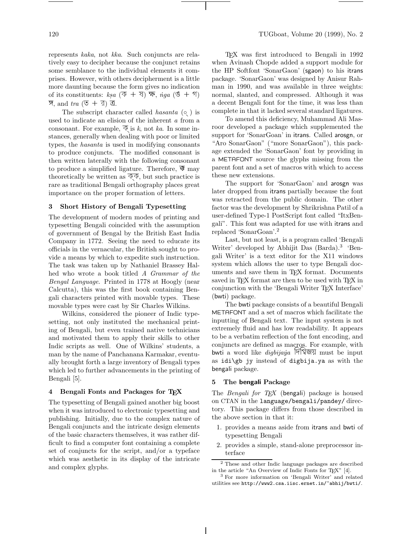represents kaka, not kka. Such conjuncts are relatively easy to decipher because the conjunct retains some semblance to the individual elements it comprises. However, with others decipherment is a little more daunting because the form gives no indication of its constituents:  $ksa$   $(\overline{\Phi} + \overline{\partial}) \overline{\Phi}$ ,  $\neg$   $nga$   $(\mathfrak{G} + \overline{\partial})$  $\overline{\mathfrak{A}}$ , and  $tra$  ( $\overline{\circ}$  + র) ত্র.

The subscript character called *hasanta*  $( \circ )$  is used to indicate an elision of the inherent a from a consonant. For example,  $\overline{\Phi}$  is k, not ka. In some instances, generally when dealing with poor or limited types, the hasanta is used in modifying consonants to produce conjuncts. The modified consonant is then written laterally with the following consonant to produce a simplified ligature. Therefore,  $\overline{\mathcal{F}}$  may theoretically be written as  $\overline{\Phi}\overline{\Phi}$ , but such practice is rare as traditional Bengali orthography places great importance on the proper formation of letters.

# **3 Short History of Bengali Typesetting**

The development of modern modes of printing and typesetting Bengali coincided with the assumption of government of Bengal by the British East India Company in 1772. Seeing the need to educate its officials in the vernacular, the British sought to provide a means by which to expedite such instruction. The task was taken up by Nathaniel Brassey Halhed who wrote a book titled A Grammar of the Bengal Language. Printed in 1778 at Hoogly (near Calcutta), this was the first book containing Bengali characters printed with movable types. These movable types were cast by Sir Charles Wilkins.

Wilkins, considered the pioneer of Indic typesetting, not only instituted the mechanical printing of Bengali, but even trained native technicians and motivated them to apply their skills to other Indic scripts as well. One of Wilkins' students, a man by the name of Panchanana Karmakar, eventually brought forth a large inventory of Bengali types which led to further advancements in the printing of Bengali [5].

# **4 Bengali Fonts and Packages for TEX**

The typesetting of Bengali gained another big boost when it was introduced to electronic typesetting and publishing. Initially, due to the complex nature of Bengali conjuncts and the intricate design elements of the basic characters themselves, it was rather difficult to find a computer font containing a complete set of conjuncts for the script, and/or a typeface which was aesthetic in its display of the intricate and complex glyphs.

TEX was first introduced to Bengali in 1992 when Avinash Chopde added a support module for the HP Softfont 'SonarGaon' (sgaon) to his itrans package. 'SonarGaon' was designed by Anisur Rahman in 1990, and was available in three weights: normal, slanted, and compressed. Although it was a decent Bengali font for the time, it was less than complete in that it lacked several standard ligatures.

To amend this deficiency, Muhammad Ali Masroor developed a package which supplemented the support for 'SonarGoan' in itrans. Called arosgn, or "Aro SonarGaon" ("more SonarGaon"), this package extended the 'SonarGaon' font by providing in a METAFONT source the glyphs missing from the parent font and a set of macros with which to access these new extensions.

The support for 'SonarGaon' and arosgn was later dropped from itrans partially because the font was retracted from the public domain. The other factor was the development by Shrikrishna Patil of a user-defined Type-1 PostScript font called "ItxBengali". This font was adapted for use with itrans and replaced 'SonarGoan'.<sup>2</sup>

Last, but not least, is a program called 'Bengali Writer' developed by Abhijit Das (Barda).<sup>3</sup> 'Bengali Writer' is a text editor for the X11 windows system which allows the user to type Bengali documents and save them in TEX format. Documents saved in TEX format are then to be used with TEX in conjunction with the 'Bengali Writer TEX Interface' (bwti) package.

The bwti package consists of a beautiful Bengali METAFONT and a set of macros which facilitate the inputting of Bengali text. The input system is not extremely fluid and has low readability. It appears to be a verbatim reflection of the font encoding, and conjuncts are defined as macros. For example, with bwti a word like *digbijaya* मिंशिखरा must be input as idi\gb jy instead of digbija.ya as with the bengali package.

# **5 The bengali Package**

The Bengali for  $T_F X$  (bengali) package is housed on CTAN in the language/bengali/pandey/ directory. This package differs from those described in the above section in that it:

- 1. provides a means aside from itrans and bwti of typesetting Bengali
- 2. provides a simple, stand-alone preprocessor interface

 $^2$  These and other Indic language packages are described in the article "An Overview of Indic Fonts for TEX"  $\left[4\right]$ 

<sup>&</sup>lt;sup>3</sup> For more information on 'Bengali Writer' and related utilities see http://www2.csa.iisc.ernet.in/~abhij/bwti/.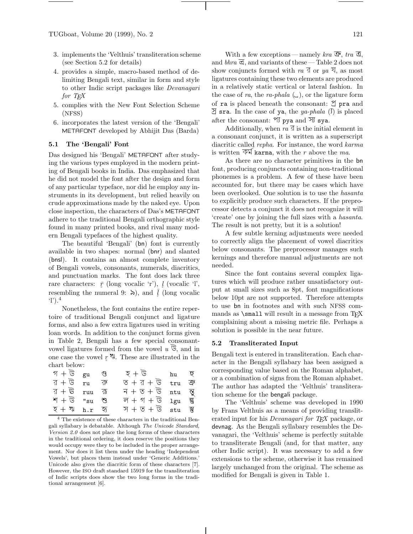- 3. implements the 'Velthuis' transliteration scheme (see Section 5.2 for details)
- 4. provides a simple, macro-based method of delimiting Bengali text, similar in form and style to other Indic script packages like Devanagari for T<sub>E</sub>X
- 5. complies with the New Font Selection Scheme (NFSS)
- 6. incorporates the latest version of the 'Bengali' METAFONT developed by Abhijit Das (Barda)

# **5.1 The 'Bengali' Font**

Das designed his 'Bengali' METAFONT after studying the various types employed in the modern printing of Bengali books in India. Das emphasized that he did not model the font after the design and form of any particular typeface, nor did he employ any instruments in its development, but relied heavily on crude approximations made by the naked eye. Upon close inspection, the characters of Das's METAFONT adhere to the traditional Bengali orthographic style found in many printed books, and rival many modern Bengali typefaces of the highest quality.

The beautiful 'Bengali' (bn) font is currently available in two shapes: normal (bnr) and slanted (bnsl). It contains an almost complete inventory of Bengali vowels, consonants, numerals, diacritics, and punctuation marks. The font does lack three rare characters:  $\bar{r}$  (long vocalic 'r'),  $l$  (vocalic 'l',<br>recombling the numeral 0:  $\sum$ ) and  $\bar{l}$  (long vocalic resembling the numeral 9:  $\delta$ ), and  $\bar{j}$  (long vocalic q<sup>1</sup>)<sup>4</sup> 'l').<sup>4</sup>

Nonetheless, the font contains the entire repertoire of traditional Bengali conjunct and ligature forms, and also a few extra ligatures used in writing loan words. In addition to the conjunct forms given in Table 2, Bengali has a few special consonantvowel ligatures formed from the vowel  $u \, \overline{\mathcal{G}}$ , and in one case the vowel  $r \infty$ . These are illustrated in the chart below: chart below:

| গ $+ \overline{\mathbb{G}}$ $_{\rm{gu}}$                |                 | ণ্ড | হ $+$ ড                                                         | hu $\overline{Q}$ |                | correspond                |
|---------------------------------------------------------|-----------------|-----|-----------------------------------------------------------------|-------------------|----------------|---------------------------|
| ব $+$ উ                                                 | r <sub>II</sub> | ক   | ত $+$ র $+$ উ                                                   | tru               | $\overline{P}$ | or a combi<br>The author- |
| র + উ $_{\rm{ruu}}$                                     |                 | ক   | $\overline{A} + \overline{O} + \overline{O}$ ntu $\overline{O}$ |                   |                | tion schem                |
| $\mathbf{M} + \overline{\mathbb{G}}$ "su $\mathfrak{B}$ |                 |     | ल $+$ গ $+$ উ $1$ gu ह्या                                       |                   |                | The '                     |
| $\overline{z} + \overline{w}$ h.r হ                     |                 |     | স $+ \circ + \circ$ stu স্ত                                     |                   |                | by Frans V                |

<sup>4</sup> The existence of these characters in the traditional Bengali syllabary is debatable. Although The Unicode Standard, Version 2.0 does not place the long forms of these characters in the traditional ordering, it does reserve the positions they would occupy were they to be included in the proper arrangement. Nor does it list them under the heading 'Independent Vowels', but places them instead under 'Generic Additions.' Unicode also gives the diacritic form of these characters [7]. However, the ISO draft standard 15919 for the transliteration of Indic scripts does show the two long forms in the traditional arrangement [6].

With a few exceptions—namely kra  $\overline{\mathfrak{S}}$ , tra  $\overline{\mathfrak{S}}$ , and  $bhra \overline{\mathfrak{S}}$ , and variants of these — Table 2 does not show conjuncts formed with ra  $\overline{A}$  or ya  $\overline{A}$ , as most ligatures containing these two elements are produced in a relatively static vertical or lateral fashion. In the case of ra, the ra-phala  $\Box$ , or the ligature form of ra is placed beneath the consonant:  $\mathfrak{I}$  pra and  $\overline{B}$  sra. In the case of ya, the ya-phala (I) is placed after the consonant:  $\mathcal{U}$  pya and  $\overline{\mathcal{Y}}$  sya.

Additionally, when  $ra \overline{3}$  is the initial element in a consonant conjunct, it is written as a superscript diacritic called repha. For instance, the word karma is written  $\overline{\Phi}$  karma, with the r above the ma.

As there are no character primitives in the bn font, producing conjuncts containing non-traditional phonemes is a problem. A few of these have been accounted for, but there may be cases which have been overlooked. One solution is to use the hasanta to explicitly produce such characters. If the preprocessor detects a conjunct it does not recognize it will 'create' one by joining the full sizes with a hasanta. The result is not pretty, but it is a solution!

A few subtle kerning adjustments were needed to correctly align the placement of vowel diacritics below consonants. The preprocessor manages such kernings and therefore manual adjustments are not needed.

Since the font contains several complex ligatures which will produce rather unsatisfactory output at small sizes such as 8pt, font magnifications below 10pt are not supported. Therefore attempts to use bn in footnotes and with such NFSS commands as  $\small{\text{small will result in a message from TFX}}$ complaining about a missing metric file. Perhaps a solution is possible in the near future.

#### **5.2 Transliterated Input**

Bengali text is entered in transliteration. Each character in the Bengali syllabary has been assigned a corresponding value based on the Roman alphabet, or a combination of signs from the Roman alphabet. The author has adapted the 'Velthuis' transliteration scheme for the bengali package.

The 'Velthuis' scheme was developed in 1990 by Frans Velthuis as a means of providing transliterated input for his *Devanagari for TEX* package, or devnag. As the Bengali syllabary resembles the Devanagari, the 'Velthuis' scheme is perfectly suitable to transliterate Bengali (and, for that matter, any other Indic script). It was necessary to add a few extensions to the scheme, otherwise it has remained largely unchanged from the original. The scheme as modified for Bengali is given in Table 1.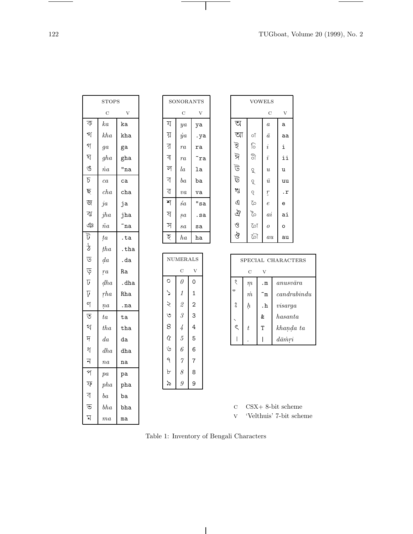$\overline{\phantom{a}}$ 

 $\sim$ 

|                           | <b>STOPS</b>    |          |  |
|---------------------------|-----------------|----------|--|
|                           | C               | V        |  |
| ক                         | ka              | ka       |  |
| খ                         | kha             | kha      |  |
| গ                         | $g\overline{a}$ | ga       |  |
| ঘ                         | gha             | gha      |  |
| ঙ                         | $\dot na$       | "na      |  |
| চ                         | ca              | ca       |  |
| ছ                         | cha             | cha      |  |
| জ                         | ja              | ja       |  |
| ঝ                         | jha             | jha      |  |
| $\mathfrak{P}$            | $\tilde na$     | ~na      |  |
| ট                         | <i>ta</i>       | .ta      |  |
| $\overline{\mathcal{L}}$  | tha             | $.\ntha$ |  |
| ড                         | da              | .da      |  |
| ড়                        | r <sub>a</sub>  | Ra       |  |
| $\overline{U}$            | dha             | .dha     |  |
| Ņ                         | rha             | Rha      |  |
| 9                         | ņa              | .na      |  |
| $\overline{\mathfrak{S}}$ | ta              | ta       |  |
| থ                         | tha             | tha      |  |
| $\overline{q}$            | $d\mathfrak{a}$ | da       |  |
| ধ                         | dha             | dha      |  |
| ন                         | na              | na       |  |
| প                         | pa              | pa       |  |
| ফ                         | pha             | pha      |  |
| ব                         | $^{ba}$         | ba       |  |
| ভ                         | bha             | bha      |  |
| Z                         | ma              | ma       |  |

| SONORANTS |             |     |  |  |  |  |  |
|-----------|-------------|-----|--|--|--|--|--|
|           | Ċ           | V   |  |  |  |  |  |
| য         | ya          | ya  |  |  |  |  |  |
| য়        | $\dot{y}$ a | .ya |  |  |  |  |  |
| র         | ra          | ra  |  |  |  |  |  |
| ৰ         | ra          | ~ra |  |  |  |  |  |
| ল         | la          | la  |  |  |  |  |  |
| ব         | $^{ba}$     | ba  |  |  |  |  |  |
| ৱ         | va          | va  |  |  |  |  |  |
| শ         | śа          | "sa |  |  |  |  |  |
| ষ         | $_{sa}$     | .sa |  |  |  |  |  |
| স         | sa          | sa  |  |  |  |  |  |
| হ         | ha          | ha  |  |  |  |  |  |

 $\mathbf{I}$ 

| NUMERALS     |                           |                |  |  |  |  |
|--------------|---------------------------|----------------|--|--|--|--|
|              | С                         |                |  |  |  |  |
| Ο            | $\theta$                  | 0              |  |  |  |  |
| $\checkmark$ | $\mathbf{1}$              | 1              |  |  |  |  |
| s<br>S       | $\overline{\mathcal{Z}}$  | $\overline{c}$ |  |  |  |  |
|              | 3                         | 3              |  |  |  |  |
| 8            | $\overline{\overline{4}}$ | 4              |  |  |  |  |
| $\gamma$     | 5                         | 5              |  |  |  |  |
| Ý            | $\ddot{o}$                | 6              |  |  |  |  |
| ٩            | $\gamma$                  | $\overline{7}$ |  |  |  |  |
| Ь            | 8                         | 8              |  |  |  |  |
| ৯            | $\overline{g}$            | 9              |  |  |  |  |

| <b>VOWELS</b>  |         |                  |           |  |  |  |  |
|----------------|---------|------------------|-----------|--|--|--|--|
| C<br>V         |         |                  |           |  |  |  |  |
| অ              |         | $\boldsymbol{a}$ | а         |  |  |  |  |
| আ              | οŤ      | $\bar{a}$        | aa        |  |  |  |  |
| ই              | ि       | $\it i$          | i         |  |  |  |  |
| ঈ              | ी       | $\bar{\imath}$   | ii        |  |  |  |  |
| ট              | q       | $\overline{u}$   | u         |  |  |  |  |
| ট              | ०ू      | $\bar{u}$        | uu        |  |  |  |  |
| খ              | ó       | $\int_{0}^{x}$   | $\cdot$ r |  |  |  |  |
| $\overline{c}$ | $\circ$ | $\overline{e}$   | e         |  |  |  |  |
| ঐ              | ৈ       | $\overline{ai}$  | ai        |  |  |  |  |
| હ              | ा       | $\overline{o}$   | o         |  |  |  |  |
| खे             | ৌ       | au               | au        |  |  |  |  |

| SPECIAL CHARACTERS |               |              |                  |  |  |  |
|--------------------|---------------|--------------|------------------|--|--|--|
|                    | $\mathcal{C}$ | V            |                  |  |  |  |
| ୧                  | $\eta$        | $\mathbf{m}$ | $anusv\bar{a}ra$ |  |  |  |
|                    | $\dot{m}$     | ŤМ           | cand rabi ndu    |  |  |  |
| $\circ$            | $\ddot{h}$    | $\cdot$ h    | visarga          |  |  |  |
|                    |               | &            | has anta         |  |  |  |
| S                  | t             | т            | khanda ta        |  |  |  |
|                    |               |              | $d\bar{a}mri$    |  |  |  |

 $c$   $CSX+8-bit$  scheme

v 'Velthuis' 7-bit scheme

Table 1: Inventory of Bengali Characters

 $\overline{\phantom{a}}$ 

 $\frac{1}{\sqrt{2\pi}}\left( \frac{1}{\sqrt{2\pi}}\right) \left( \frac{1}{\sqrt{2\pi}}\right) \left( \frac{1}{\sqrt{2\pi}}\right) \left( \frac{1}{\sqrt{2\pi}}\right) \left( \frac{1}{\sqrt{2\pi}}\right) \left( \frac{1}{\sqrt{2\pi}}\right) \left( \frac{1}{\sqrt{2\pi}}\right) \left( \frac{1}{\sqrt{2\pi}}\right) \left( \frac{1}{\sqrt{2\pi}}\right) \left( \frac{1}{\sqrt{2\pi}}\right) \left( \frac{1}{\sqrt{2\pi}}\right) \left( \frac{1}{\sqrt$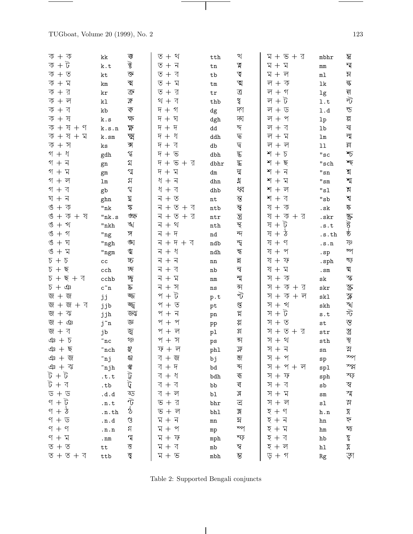$\frac{1}{\sqrt{2\pi}}\left( \frac{1}{\sqrt{2\pi}}\right) \left( \frac{1}{\sqrt{2\pi}}\right) \left( \frac{1}{\sqrt{2\pi}}\right) \left( \frac{1}{\sqrt{2\pi}}\right) \left( \frac{1}{\sqrt{2\pi}}\right) \left( \frac{1}{\sqrt{2\pi}}\right) \left( \frac{1}{\sqrt{2\pi}}\right) \left( \frac{1}{\sqrt{2\pi}}\right) \left( \frac{1}{\sqrt{2\pi}}\right) \left( \frac{1}{\sqrt{2\pi}}\right) \left( \frac{1}{\sqrt{2\pi}}\right) \left( \frac{1}{\sqrt$ 

| ক $+$ ক                                      | kk                        | ক                                                                                                       | থ<br>$+$<br>$\overline{\circ}$                        | $\mathtt{tth}$                | খ                         | $+$ ভ + র<br>K                             | mbhr                           | ম্ভ                       |
|----------------------------------------------|---------------------------|---------------------------------------------------------------------------------------------------------|-------------------------------------------------------|-------------------------------|---------------------------|--------------------------------------------|--------------------------------|---------------------------|
| ক + ট                                        | $\mathbf k$ . $\mathbf t$ | $\overline{\mathscr{C}}$                                                                                | $\overline{\circ}$<br>ন<br>$\pm$                      | ${\tt tn}$                    | খ                         | Z<br>$\mathbb{Z}$<br>$^{+}$                | $\rm mm$                       | ম্ম                       |
| ক + ত                                        | kt                        | $\overline{\mathcal{C}}$                                                                                | ব<br>$\overline{\circ}$<br>$^{+}$                     | $^{\tt tb}$                   | $\Delta$                  | Z<br>ল                                     | $\mathtt{m}\mathtt{l}$         | $\approx$                 |
| $\overline{\Phi}$ +<br>ম                     | km                        | ঝ                                                                                                       | $\overline{\circ}$<br>ম<br>$+$                        | $\texttt{tm}$                 | ত্ম                       | ল<br>$\overline{\diamondsuit}$<br>$\pm$    | $1\mathrm{k}$                  | ন্ধ                       |
| $\overline{\Phi}$ +<br>র                     | kr                        | $\overline{\mathbb{P}}$                                                                                 | $\overline{\mathbb{C}}$<br>র<br>$+$                   | ${\tt tr}$                    | $\overline{\mathbb{G}}$   | ল<br>গ<br>$^{+}$                           | $1\mathrm{g}$                  |                           |
| ক $+$ ল                                      | k1                        | $\mathbb{R}$                                                                                            | $\overline{\triangleleft}$<br>থ<br>$+$                | $_{\rm thb}$                  | খ                         | ট<br>ল                                     | $1.t$                          | न्न<br>ले                 |
| ক $+$ ব                                      | kb                        | ক                                                                                                       | গ<br>দ<br>$+$                                         | $\mathrm{dg}$                 | দা                        | ল<br>ড<br>$^{+}$                           | 1.d                            | ন্ড                       |
| ক $+$ ষ                                      | ${\tt k.s}$               | ক্ষ                                                                                                     | দ<br>ঘ<br>$+$                                         | dgh                           | দ্য                       | ল $+$<br>প                                 | $1\mathrm{p}$                  | ন্স                       |
| $\overline{\diamond}$ +<br>ষ $+$<br>ণ        | k.s.n                     | শ্ব                                                                                                     | দ<br>দ<br>$+$                                         | $\mathrm{dd}$                 | $\overline{\mathcal{H}}$  | ল<br>ব                                     | $1\mathrm{b}$                  | $\overline{\mathbf{z}}$   |
| ষ<br>$\overline{\diamond}$ +<br>$+$<br>ম     | k.sm                      | স্মৃ                                                                                                    | দ<br>ধ<br>$+$                                         | $\operatorname{ddh}$          | দ্ব                       | ল<br>$\mathbb{Z}$<br>$^{+}$                | $\verb lm $                    | ন্ম                       |
| ক $+$ স                                      | ks                        | প্প                                                                                                     | $\overline{q}$<br>ব<br>$+$                            | ${\rm db}$                    | $\overline{B}$            | ল<br>ল                                     | $11\,$                         | $\overline{\mathfrak{N}}$ |
| গ + ধ                                        | gdh                       | $\mathfrak{A}$                                                                                          | দ<br>$\overline{G}$<br>$+$                            | ${\rm dbh}$                   | ড                         | শ<br>চ                                     | "sc                            | $\sum$                    |
| গ + ন                                        | gn                        | গ্                                                                                                      | ত + র<br>দ<br>$+$                                     | dbhr                          | $\overline{\mathbf{z}}$   | শ<br>ছ                                     | $^{\sf{II}}\texttt{sch}$       | শ্চ্                      |
| গ + ম                                        | $\rm gm$                  | গ্ম                                                                                                     | $\mathbb{Z}$<br>দ<br>$+$                              | ${\rm d} {\rm m}$             | দ্ম                       | শ<br>$\overline{\mathbf{v}}$               | $\rm ^{\shortparallel} \rm sn$ | $\frac{1}{2}$             |
| $9 + 9$                                      | $\verb lm $               | $\mathfrak{A}% _{T}=\mathfrak{B}_{T}\!\left( a,b\right) ,\ \mathfrak{C}_{T}=C_{T}\!\left( a,b\right) ,$ | ধ<br>$\overline{\mathbf{1}}$<br>$+$                   | ${\rm dhn}$                   | শ্ব                       | শ<br>$\Delta$<br>$+$                       | $^{\rm n} \mathrm{sm}$         | শ্ম                       |
| $9 +$<br>ব                                   | gb                        | $\mathfrak{A}$                                                                                          | ধ<br>ব<br>$+$                                         | ${\rm d}{\rm h}{\rm b}$       | ধ্ব                       | শ<br>ল                                     | $^{\sf{II}}\rm{s}1$            | $\frac{1}{2}$             |
| $\overline{\mathbf{v}}$<br>$8 +$             | ghn                       | য়                                                                                                      | $\overline{\mathcal{N}}$<br>$\overline{\circ}$<br>$+$ | $\operatorname{\mathbf{nt}}$  | $\overline{\mathcal{C}}$  | শ<br>$\triangleleft$                       | $^{\sf{II}}\!{\tt sb}$         | শ্ব                       |
| $\Rightarrow$<br>ঙ<br>$+$                    | $\mathrm{"nk}$            | \$                                                                                                      | ত + ব<br>ন<br>$^{+}$                                  | $\verb ntb $                  | ম্বৃ                      | ষ<br>$\overline{\diamond}$                 | . $\mathbf{sk}$                | ক্                        |
| ঙ<br>ক<br>ষ<br>$+$<br>$+$                    | "nk.s                     | ঙক্ষ                                                                                                    | ন<br>$+$ র<br>$+$<br>$\overline{\circ}$               | $\operatorname{\textsf{ntr}}$ | $\mathbf{\overline{3}}$   | ষ<br>$\Delta$<br>$+ 3$                     | .skr                           |                           |
| ঙ<br>খ<br>$+$                                | $\mathsf{''nkh}$          | $\mathbb{Z}$                                                                                            | থ<br>ন<br>$^{+}$                                      | $\operatorname{nth}$          | ञ्                        | $\vec{v}$<br>ষ<br>$+$                      | .s.t                           | कु हो ह                   |
| ঙ<br>$+$<br>গ                                | "ng                       | স্                                                                                                      | ন<br>দ<br>$^{+}$                                      | $^{\rm nd}$                   | $\overline{\mathcal{M}}$  | ষ<br>₹<br>$\overline{+}$                   | .s.th                          |                           |
| ঙ<br>ঘ                                       | "ngh                      | ঙ্ঘ                                                                                                     | $4 + 3$<br>ন<br>$\pm$                                 | $\mathop{\rm ndb}\nolimits$   | ন্দ্ব                     | ষ<br>ণ                                     | $\verb .s.n$                   | $\mathbb{R}$              |
| ঙ<br>$\mathbb{Z}$<br>$+$                     | "ngm                      | ধ্ব                                                                                                     | ধ<br>ন<br>$\hspace{0.1mm} +$                          | $\mathop{\rm ndh}\nolimits$   | ন্ধ                       | ষ<br>প                                     | $\mathop{\rm sp}\nolimits$     | ষ্প                       |
| $5+$<br>$\Delta$                             | $\mathtt{cc}$             | চ্চ                                                                                                     | ন<br>ন<br>╅                                           | ${\tt nn}$                    | $\overline{\mathbf{z}}$   | ষ<br>$\Delta$                              | $.\,\mathrm{sph}$              | ষ্ট                       |
| $5+$<br>ছ                                    | $\verb cch $              | ড্য                                                                                                     | ন<br>ব<br>┿                                           | ${\tt nb}$                    | न्                        | ষ<br>$\Delta$                              | . $\texttt{sm}$                | ब्र                       |
| $5+$<br>ছ $+$ ব                              | $c$ chb                   | ष्ठू                                                                                                    | $\overline{\mathbf{v}}$<br>ম<br>$^{+}$                | $\mathtt{nm}$                 | ন্ম                       | স<br>ক                                     | $\rm sk$                       | স্ক                       |
| $5+$<br>$\mathfrak{P}$                       | $\verb"c"n"$              | $\mathbb{R}$                                                                                            | ন<br>$\Delta$<br>$+$                                  | $\mathtt{ns}$                 | ऄ                         | স<br>$\overline{\diamond}$<br>$+ 3$<br>$+$ | ${\tt skr}$                    | $\mathfrak{F}$            |
| জ + জ                                        | jj                        | জ্জ                                                                                                     | $\vec{v}$<br>প<br>$+$                                 | p.t                           | $\widetilde{\mathcal{D}}$ | স<br>$\overline{\diamond}$<br>$+$ ল<br>$+$ | skl                            | শ্প                       |
| জ + জ + ব                                    | jjb                       | জ্জ্ব                                                                                                   | $\overline{\circ}$<br>প<br>$+$                        | pt                            | $\mathfrak{A}$            | $H +$<br>খ                                 | $\operatorname{skh}$           |                           |
| জ $+$ ঝ                                      | jjh                       | জন                                                                                                      | প<br>ন্<br>$+$                                        | $\rm pn$                      | শ্ব                       | $\vec{v}$<br>স $+$                         | $\mathsf{s}$ . $\mathsf{t}$    | र्द्ध स्ट                 |
| জ + ঞ                                        | j~n                       | জ                                                                                                       | প<br>প<br>$+$                                         | pp                            | প্প                       | স + ত                                      | $\operatorname{\mathsf{st}}$   | স্ত                       |
| $\overline{\triangleleft}$<br>জ $+$          | jb                        | জ্ব                                                                                                     | $+$<br>প<br>ল                                         | pl                            | প্ল                       | স<br>ত + র<br>$+$                          | $\operatorname{\textsf{str}}$  | প্ৰ                       |
| $48 + 5$                                     | $\tilde{\ }$ nc           | ঞ্                                                                                                      | প<br>স<br>$+$                                         | ps                            | ন্স                       | স<br>থ                                     | $\operatorname{sth}$           |                           |
| ঞ $+$ ছ                                      | $\tilde{\ }$ nch          | স্থ                                                                                                     | $\overline{\mathcal{S}}$<br>$+$ ল                     | phl                           | $\mathbb{Z}$              | স + ন                                      | ${\tt sn}$                     | গ্ৰ শ্ৰ                   |
| ঞ + জ                                        | ~nj                       | $\mathcal{G}% _{0}^{\ast }=\mathcal{G}_{\mathrm{C}}^{\ast }$                                            | ব + জ                                                 | bj                            | জ                         | স $+$ প                                    | $_{\rm sp}$                    | স্প                       |
| $-32 + 31$                                   | $\verb ^{\sim}$ njh       |                                                                                                         | $\overline{4}$ +<br>দ                                 | $\operatorname{\sf bd}$       | ব্দ                       | স $+$ প $+$ ল                              | sp1                            | স্প্ল                     |
| $\overrightarrow{u} + \overrightarrow{v}$    | .t.t                      | وب رج روا هذا نظام ه                                                                                    | ব<br>$+$<br>$\triangleleft$                           | $_{\rm bdh}$                  | ৰ্ক                       | স + ফ                                      | sph                            | স্ফ                       |
| ট + ব                                        | $\cdot$ tb                |                                                                                                         | ব $+$<br>ব                                            | bb                            | ৰ                         | $+$ $\overline{K}$<br>ব                    | ${\tt sb}$                     | স্ব                       |
| ড + ড                                        | $\mathtt{.d.d}$           |                                                                                                         | ল<br>ব +                                              | b1                            | র $\overline{a}$          | $H +$<br>ম                                 | $\mathtt{sm}$                  | স্ম                       |
| $\vec{v}$<br>$q +$                           | .n.t                      |                                                                                                         | $+$ র<br>$\overline{G}$                               | $_{\rm bhr}$                  | $\overline{\mathfrak{C}}$ | স + ল                                      | $\mathtt{s}1$                  | $\mathfrak{B}$            |
| $\mathcal{P}$<br>$9 +$                       | ${\tt .n.th}$             |                                                                                                         | ত + ল                                                 | bh1                           | $\mathbb{Z}$              | $5 + 9$                                    | ${\tt h.n}$                    | $\frac{1}{2}$             |
| $9 + 5$                                      | ${\tt .n.d}$              | $\mathcal{G}% _{0}$                                                                                     | $\overline{a}$ + $\overline{a}$                       | $\mathtt{mn}$                 | $\mathbf{z}$              | $\overline{z}$ + न                         | $\,\mathrm{hn}$                | স্                        |
| $9 + 9$                                      | ${\bf n} \cdot {\bf n}$   | ุส                                                                                                      | $+$ $\gamma$<br>$\mathbb{Z}$                          | ${\tt mp}$                    | ম্প                       | হ<br>$+ 1$                                 | $\,\mathrm{hm}$                | স্ম                       |
| ণ + ম                                        | $\mathop{\text{nm}}$      | $\mathfrak{p}$                                                                                          | $+$ $\overline{v}$<br>$\mathbb{Z}$                    | mph                           | ম্ফ                       | $5 + 4$                                    | ${\tt hb}$                     |                           |
| $\overline{\circ} + \overline{\circ}$        | $\tt tt$                  | $\overline{S}$                                                                                          | $+ 7$<br>$\mathbb{Z}$                                 | $\mathbbm{m}\mathbf{b}$       | শ্ব                       | $5 + 7$                                    | $\mathtt{hl}$                  | 20   40                   |
| $\overline{0} + \overline{0} + \overline{4}$ | ttb                       | $\overline{\mathbb{S}}$                                                                                 | $\Delta + \mathbf{E}$                                 | $\mathbbm{mbh}$               | $\mathfrak{B}$            | ড় + গ                                     |                                | ড়া                       |
|                                              |                           |                                                                                                         |                                                       |                               |                           |                                            | $\rm{Rg}$                      |                           |

 $\overline{\phantom{0}}$ 

 $\overline{\phantom{0}}$ 

 $\overline{\phantom{a}}$ 

Table 2: Supported Bengali conjuncts

 $\overline{\phantom{a}}$ 

e.

 $\qquad \qquad$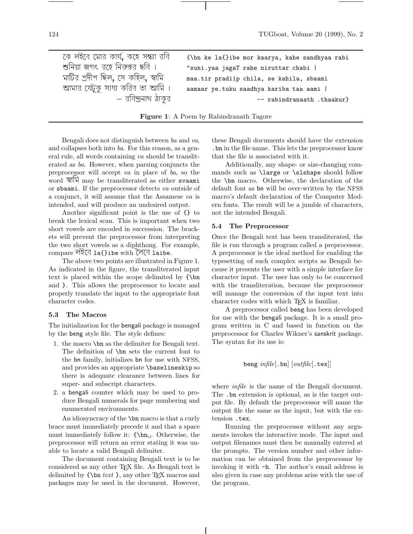```
কে লইবে মোর কার্য, কহে সন্ধ্যা রবি
কে লহবে মোর কায, কহে সন্ধ্যা রাব      {\bn ke la{}ibe mor kaarya, kahe sandhyaa rabi<br>শুনিয়া জগৎ রহে নিরুত্তর ছবি ।          "suni.yaa jagaT rahe niruttar chabi ।
ণ্ডানয়া জগৎ রহে নিরুত্তর ছাব ।              "suni.yaa jagaT rahe niruttar chabi ।<br>মাটির প্রদীপ ছিল, সে কহিল, স্বামি          maa.tir pradiip chila, se kahila, sba
মাটির প্রদীপ ছিল, সে কাহল, স্বামি        maa.tir pradiip chila, se kahila, sbaami<br>আমার যেটুকু সাধ্য করিব তা আমি ।     aamaar ye.tuku saadhya kariba taa aami ।
                            I করিব তা আমি ।      aamaar ye.tuku saadhya kariba taa aami ।<br>— রবিন্দ্রনাথ ঠাকুর
                                                                                                      -- rabindranaath .thaakur}
```

| <b>Figure 1:</b> A Poem by Rabindranath Tagore |  |  |  |  |  |  |  |  |  |
|------------------------------------------------|--|--|--|--|--|--|--|--|--|
|------------------------------------------------|--|--|--|--|--|--|--|--|--|

Bengali does not distinguish between ba and va, and collapses both into ba. For this reason, as a general rule, all words containing va should be transliterated as ba. However, when parsing conjuncts the preprocessor will accept va in place of ba, so the word  $\mathbb{R}$  may be transliterated as either svaami or sbaami. If the preprocessor detects va outside of a conjunct, it will assume that the Assamese va is intended, and will produce an undesired output.

Another significant point is the use of {} to break the lexical scan. This is important when two short vowels are encoded in succession. The brackets will prevent the preprocessor from interpreting the two short vowels as a diphthong. For example, compare লহবে 1a{}ibe with লেবে 1aibe.

The above two points are illustrated in Figure 1. As indicated in the figure, the transliterated input text is placed within the scope delimited by {\bn and }. This allows the preprocessor to locate and properly translate the input to the appropriate font character codes.

# **5.3 The Macros**

The initialization for the bengali package is managed by the beng style file. The style defines:

- 1. the macro \bn as the delimiter for Bengali text. The definition of \bn sets the current font to the bn family, initializes bn for use with NFSS, and provides an appropriate \baselineskip so there is adequate clearance between lines for super- and subscript characters.
- 2. a bengali counter which may be used to produce Bengali numerals for page numbering and enumerated environments.

An idiosyncracy of the \bn macro is that a curly brace must immediately precede it and that a space must immediately follow it:  ${\b n_\iota$ . Otherwise, the preprocessor will return an error stating it was unable to locate a valid Bengali delimiter.

The document containing Bengali text is to be considered as any other TEX file. As Bengali text is delimited by  $\{\n\text{ }text \}$ , any other T<sub>EX</sub> macros and packages may be used in the document. However, these Bengali documents should have the extension .bn in the file name. This lets the preprocessor know that the file is associated with it.

Additionally, any shape- or size-changing commands such as \large or \slshape should follow the \bn macro. Otherwise, the declaration of the default font as bn will be over-written by the NFSS macro's default declaration of the Computer Modern fonts. The result will be a jumble of characters, not the intended Bengali.

# **5.4 The Preprocessor**

Once the Bengali text has been transliterated, the file is run through a program called a preprocessor. A preprocessor is the ideal method for enabling the typesetting of such complex scripts as Bengali because it presents the user with a simple interface for character input. The user has only to be concerned with the transliteration, because the preprocessor will manage the conversion of the input text into character codes with which T<sub>E</sub>X is familiar.

A preprocessor called beng has been developed for use with the bengali package. It is a small program written in C and based in function on the preprocessor for Charles Wikner's sanskrit package. The syntax for its use is:

```
beng infile[.\,bn[outfile[.\,textrm{tex}]]
```
where *infile* is the name of the Bengali document. The .bn extension is optional, as is the target output file. By default the preprocessor will name the output file the same as the input, but with the extension .tex.

Running the preprocessor without any arguments invokes the interactive mode. The input and output filenames must then be manually entered at the prompts. The version number and other information can be obtained from the preprocessor by invoking it with -h. The author's email address is also given in case any problems arise with the use of the program.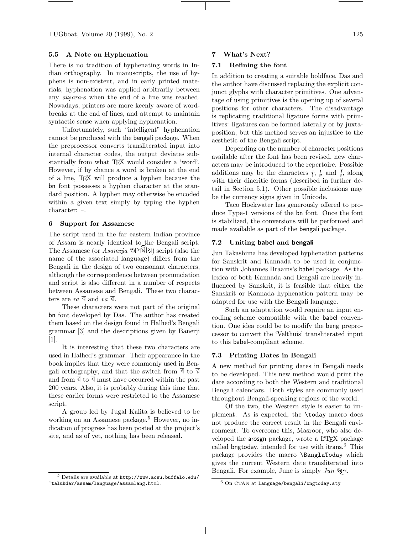TUGboat, Volume 20 (1999), No. 2 125

# **5.5 A Note on Hyphenation**

There is no tradition of hyphenating words in Indian orthography. In manuscripts, the use of hyphens is non-existent, and in early printed materials, hyphenation was applied arbitrarily between any *aksara*-s when the end of a line was reached. Nowadays, printers are more keenly aware of wordbreaks at the end of lines, and attempt to maintain syntactic sense when applying hyphenation.

Unfortunately, such "intelligent" hyphenation cannot be produced with the bengali package. When the preprocessor converts transliterated input into internal character codes, the output deviates substantially from what TFX would consider a 'word'. However, if by chance a word is broken at the end of a line, TEX will produce a hyphen because the bn font possesses a hyphen character at the standard position. A hyphen may otherwise be encoded within a given text simply by typing the hyphen character: -.

#### **6 Support for Assamese**

The script used in the far eastern Indian province of Assam is nearly identical to the Bengali script. The Assamese (or  $Asam\bar{v}i\alpha$   $\overline{\nabla}\overline{\nabla}$ ) script (also the name of the associated language) differs from the Bengali in the design of two consonant characters, although the correspondence between pronunciation and script is also different in a number of respects between Assamese and Bengali. These two characters are  $ra \triangleleft$  and  $va \triangleleft$ .

These characters were not part of the original bn font developed by Das. The author has created them based on the design found in Halhed's Bengali grammar [3] and the descriptions given by Banerji [1].

It is interesting that these two characters are used in Halhed's grammar. Their appearance in the book implies that they were commonly used in Bengali orthography, and that the switch from  $\overline{A}$  to  $\overline{A}$ and from  $\sqrt{\phantom{a}}$  to  $\sqrt{\phantom{a}}$  must have occurred within the past 200 years. Also, it is probably during this time that these earlier forms were restricted to the Assamese script.

A group led by Jugal Kalita is believed to be working on an Assamese package.<sup>5</sup> However, no indication of progress has been posted at the project's site, and as of yet, nothing has been released.

## **7 What's Next?**

## **7.1 Refining the font**

In addition to creating a suitable boldface, Das and the author have discussed replacing the explicit conjunct glyphs with character primitives. One advantage of using primitives is the opening up of several positions for other characters. The disadvantage is replicating traditional ligature forms with primitives: ligatures can be formed laterally or by juxtaposition, but this method serves an injustice to the aesthetic of the Bengali script.

Depending on the number of character positions available after the font has been revised, new characters may be introduced to the repertoire. Possible additions may be the characters  $\bar{r}$ ,  $l_s$ , and  $\bar{l}_s$ , along<br>with their discritic forms (described in further dewith their diacritic forms (described in further detail in Section 5.1). Other possible inclusions may be the currency signs given in Unicode.

Taco Hoekwater has generously offered to produce Type-1 versions of the bn font. Once the font is stabilized, the conversions will be performed and made available as part of the bengali package.

#### **7.2 Uniting babel and bengali**

Jun Takashima has developed hyphenation patterns for Sanskrit and Kannada to be used in conjunction with Johannes Braams's babel package. As the lexica of both Kannada and Bengali are heavily influenced by Sanskrit, it is feasible that either the Sanskrit or Kannada hyphenation pattern may be adapted for use with the Bengali language.

Such an adaptation would require an input encoding scheme compatible with the babel convention. One idea could be to modify the beng preprocessor to convert the 'Velthuis' transliterated input to this babel-compliant scheme.

# **7.3 Printing Dates in Bengali**

A new method for printing dates in Bengali needs to be developed. This new method would print the date according to both the Western and traditional Bengali calendars. Both styles are commonly used throughout Bengali-speaking regions of the world.

Of the two, the Western style is easier to implement. As is expected, the \today macro does not produce the correct result in the Bengali environment. To overcome this, Masroor, who also developed the arosgn package, wrote a L<sup>A</sup>T<sub>EX</sub> package called bngtoday, intended for use with itrans. <sup>6</sup> This package provides the macro \BanglaToday which gives the current Western date transliterated into Bengali. For example, June is simply  $J\bar{u}n \overline{\mathfrak{S}}\overline{\mathfrak{I}}$ .

 $5$  Details are available at  $http://www.acsu.buffalo.edu/$ ~talukdar/assam/language/assamlang.html.

 $\overline{6 \text{ On}}$  CTAN at language/bengali/bngtoday.sty